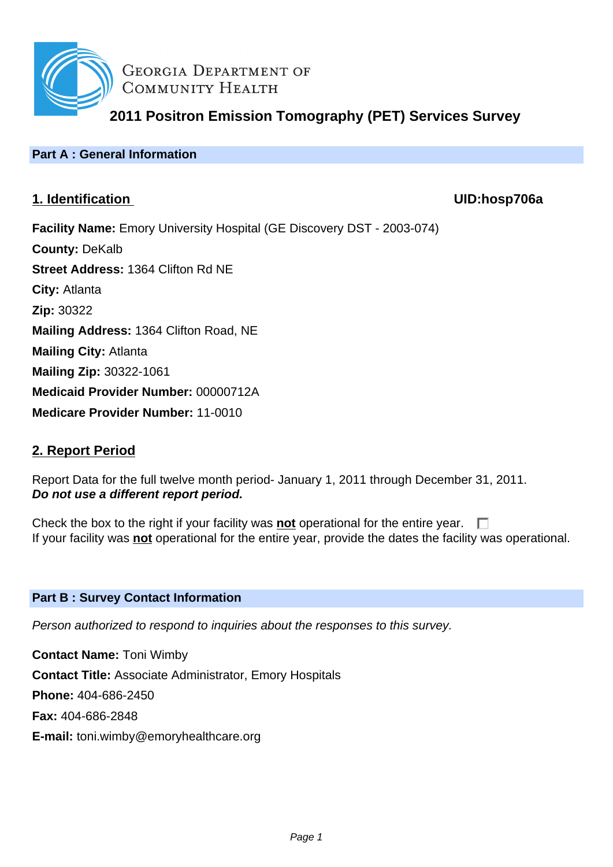

**GEORGIA DEPARTMENT OF** COMMUNITY HEALTH

# **2011 Positron Emission Tomography (PET) Services Survey**

## **Part A : General Information**

## **1. Identification UID:hosp706a**

**Facility Name:** Emory University Hospital (GE Discovery DST - 2003-074) **County:** DeKalb **Street Address:** 1364 Clifton Rd NE **City:** Atlanta **Zip:** 30322 **Mailing Address:** 1364 Clifton Road, NE **Mailing City:** Atlanta **Mailing Zip:** 30322-1061 **Medicaid Provider Number:** 00000712A **Medicare Provider Number:** 11-0010

## **2. Report Period**

Report Data for the full twelve month period- January 1, 2011 through December 31, 2011. **Do not use a different report period.**

Check the box to the right if your facility was **not** operational for the entire year.  $\Box$ If your facility was **not** operational for the entire year, provide the dates the facility was operational.

#### **Part B : Survey Contact Information**

Person authorized to respond to inquiries about the responses to this survey.

**Contact Name:** Toni Wimby **Contact Title:** Associate Administrator, Emory Hospitals **Phone:** 404-686-2450 **Fax:** 404-686-2848 **E-mail:** toni.wimby@emoryhealthcare.org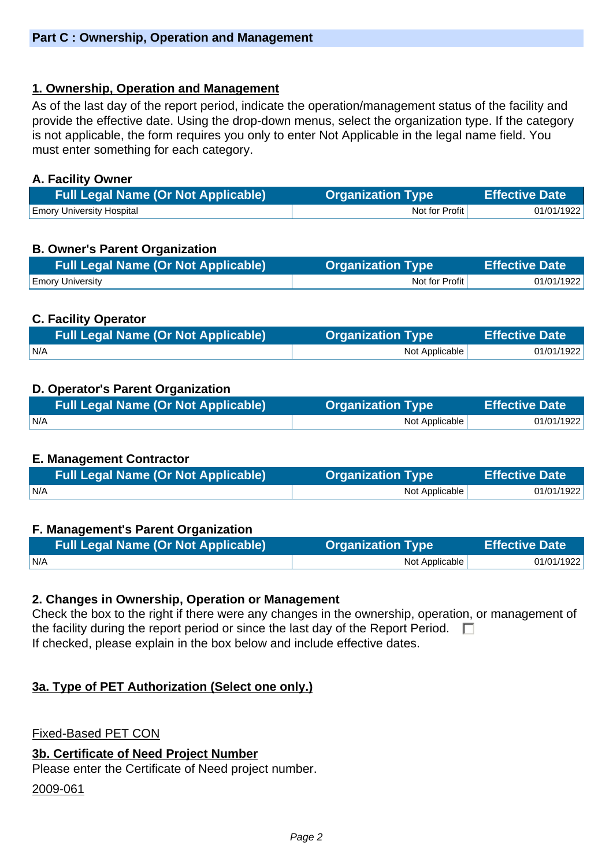## **1. Ownership, Operation and Management**

As of the last day of the report period, indicate the operation/management status of the facility and provide the effective date. Using the drop-down menus, select the organization type. If the category is not applicable, the form requires you only to enter Not Applicable in the legal name field. You must enter something for each category.

### **A. Facility Owner**

| <b>Full Legal Name (Or Not Applicable)</b> | <b>Organization Type</b> | <b>Effective Date</b> |
|--------------------------------------------|--------------------------|-----------------------|
| <b>Emory University Hospital</b>           | Not for Profit           | 01/01/1922            |

## **B. Owner's Parent Organization**

| <b>Full Legal Name (Or Not Applicable)</b> | <b>Organization Type</b> | <b>Effective Date</b> |
|--------------------------------------------|--------------------------|-----------------------|
| <b>Emory University</b>                    | Not for Profit           | 01/01/1922            |

## **C. Facility Operator**

| <b>Full Legal Name (Or Not Applicable)</b> | <b>Organization Type</b> | <b>Effective Date</b> |
|--------------------------------------------|--------------------------|-----------------------|
| N/A                                        | Not Applicable           | 01/01/1922            |

## **D. Operator's Parent Organization**

| <b>Full Legal Name (Or Not Applicable)</b> | <b>Organization Type \</b> | <b>Effective Date</b> |
|--------------------------------------------|----------------------------|-----------------------|
| N/A                                        | Not Applicable             | 01/01/1922            |

#### **E. Management Contractor**

| <b>Full Legal Name (Or Not Applicable)</b> | <b>Organization Type</b> | <b>Effective Date</b> |
|--------------------------------------------|--------------------------|-----------------------|
| IN/A                                       | Not Applicable           | 01/01/1922            |

#### **F. Management's Parent Organization**

| <b>Full Legal Name (Or Not Applicable)</b> | <b>Organization Type</b> | <b>Effective Date</b> |
|--------------------------------------------|--------------------------|-----------------------|
| N/A                                        | Not Applicable           | 01/01/1922            |

#### **2. Changes in Ownership, Operation or Management**

Check the box to the right if there were any changes in the ownership, operation, or management of the facility during the report period or since the last day of the Report Period.  $\Box$ If checked, please explain in the box below and include effective dates.

## **3a. Type of PET Authorization (Select one only.)**

Fixed-Based PET CON

#### **3b. Certificate of Need Project Number**

Please enter the Certificate of Need project number.

2009-061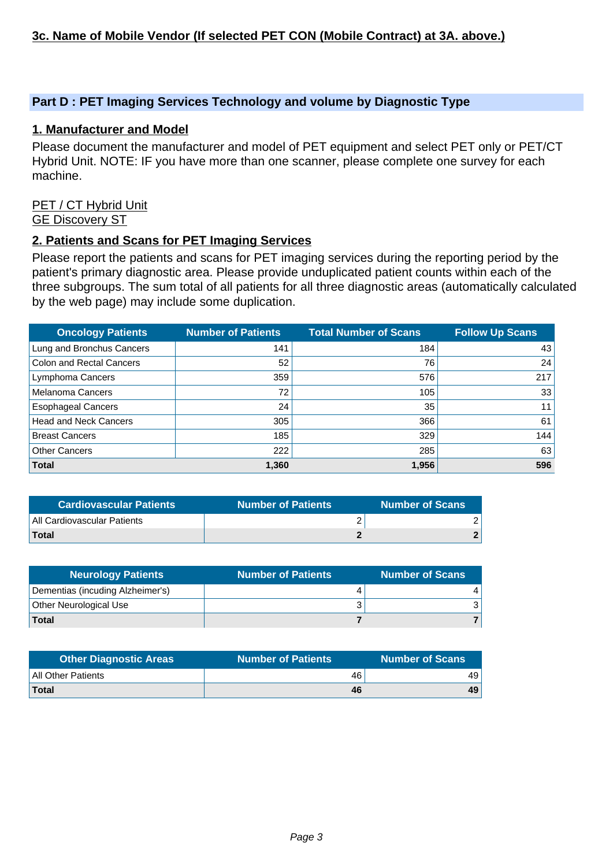### **Part D : PET Imaging Services Technology and volume by Diagnostic Type**

#### **1. Manufacturer and Model**

Please document the manufacturer and model of PET equipment and select PET only or PET/CT Hybrid Unit. NOTE: IF you have more than one scanner, please complete one survey for each machine.

#### PET / CT Hybrid Unit GE Discovery ST

#### **2. Patients and Scans for PET Imaging Services**

Please report the patients and scans for PET imaging services during the reporting period by the patient's primary diagnostic area. Please provide unduplicated patient counts within each of the three subgroups. The sum total of all patients for all three diagnostic areas (automatically calculated by the web page) may include some duplication.

| <b>Oncology Patients</b>        | <b>Number of Patients</b> | <b>Total Number of Scans</b> | <b>Follow Up Scans</b> |
|---------------------------------|---------------------------|------------------------------|------------------------|
| Lung and Bronchus Cancers       | 141                       | 184                          | 43                     |
| <b>Colon and Rectal Cancers</b> | 52                        | 76                           | 24                     |
| Lymphoma Cancers                | 359                       | 576                          | 217                    |
| <b>Melanoma Cancers</b>         | 72                        | 105                          | 33                     |
| <b>Esophageal Cancers</b>       | 24                        | 35                           | 11                     |
| <b>Head and Neck Cancers</b>    | 305                       | 366                          | 61                     |
| <b>Breast Cancers</b>           | 185                       | 329                          | 144                    |
| <b>Other Cancers</b>            | 222                       | 285                          | 63                     |
| <b>Total</b>                    | 1,360                     | 1,956                        | 596                    |

| <b>Cardiovascular Patients</b> | <b>Number of Patients</b> | <b>Number of Scans</b> |
|--------------------------------|---------------------------|------------------------|
| All Cardiovascular Patients    |                           |                        |
| <b>Total</b>                   |                           |                        |

| <b>Neurology Patients</b>        | <b>Number of Patients</b> | <b>Number of Scans</b> |
|----------------------------------|---------------------------|------------------------|
| Dementias (incuding Alzheimer's) |                           |                        |
| <b>Other Neurological Use</b>    |                           |                        |
| Total                            |                           |                        |

| <b>Other Diagnostic Areas</b> | <b>Number of Patients</b> | <b>Number of Scans</b> |
|-------------------------------|---------------------------|------------------------|
| All Other Patients            | 46                        | 49                     |
| Total                         | 46                        | 49                     |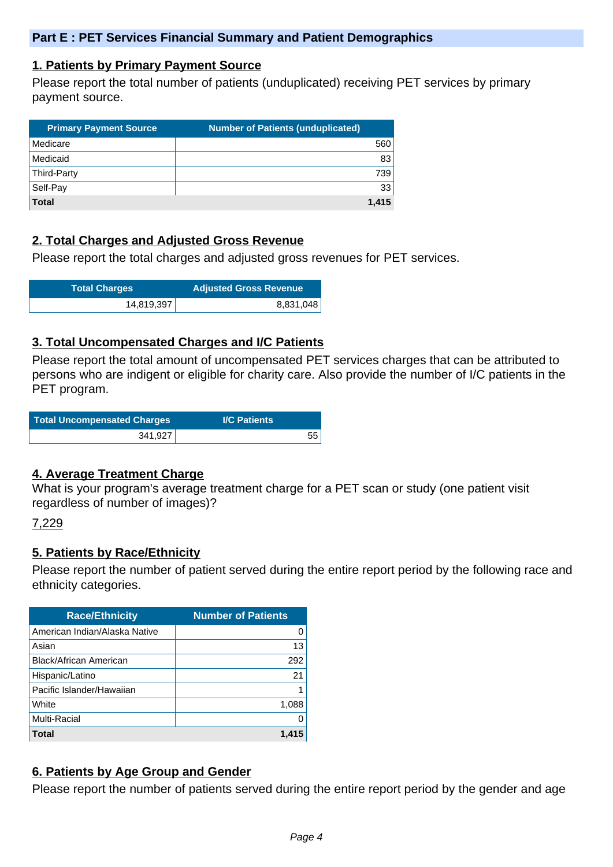#### **1. Patients by Primary Payment Source**

Please report the total number of patients (unduplicated) receiving PET services by primary payment source.

| <b>Primary Payment Source</b> | <b>Number of Patients (unduplicated)</b> |
|-------------------------------|------------------------------------------|
| Medicare                      | 560                                      |
| Medicaid                      | 83                                       |
| Third-Party                   | 739                                      |
| Self-Pay                      | 33                                       |
| <b>Total</b>                  | 1.415                                    |

## **2. Total Charges and Adjusted Gross Revenue**

Please report the total charges and adjusted gross revenues for PET services.

| <b>Total Charges</b> | <b>Adjusted Gross Revenue</b> |
|----------------------|-------------------------------|
| 14,819,397           | 8,831,048                     |

#### **3. Total Uncompensated Charges and I/C Patients**

Please report the total amount of uncompensated PET services charges that can be attributed to persons who are indigent or eligible for charity care. Also provide the number of I/C patients in the PET program.

| Total Uncompensated Charges | <b>I/C Patients</b> |
|-----------------------------|---------------------|
| 341,927                     | 55                  |

#### **4. Average Treatment Charge**

What is your program's average treatment charge for a PET scan or study (one patient visit regardless of number of images)?

#### 7,229

#### **5. Patients by Race/Ethnicity**

Please report the number of patient served during the entire report period by the following race and ethnicity categories.

| <b>Race/Ethnicity</b>         | <b>Number of Patients</b> |
|-------------------------------|---------------------------|
| American Indian/Alaska Native | O                         |
| Asian                         | 13                        |
| Black/African American        | 292                       |
| Hispanic/Latino               | 21                        |
| Pacific Islander/Hawaiian     |                           |
| White                         | 1,088                     |
| Multi-Racial                  | O                         |
| Total                         | 1.415                     |

## **6. Patients by Age Group and Gender**

Please report the number of patients served during the entire report period by the gender and age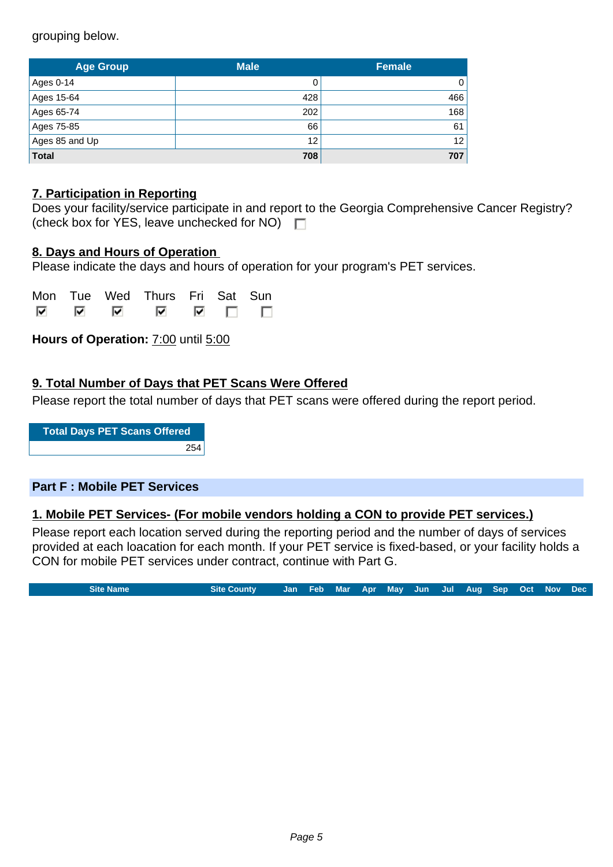grouping below.

| <b>Age Group</b> | <b>Male</b> | <b>Female</b> |
|------------------|-------------|---------------|
| Ages 0-14        |             | 0             |
| Ages 15-64       | 428         | 466           |
| Ages 65-74       | 202         | 168           |
| Ages 75-85       | 66          | 61            |
| Ages 85 and Up   | 12          | 12            |
| <b>Total</b>     | 708         | 707           |

## **7. Participation in Reporting**

|                                                    | Does your facility/service participate in and report to the Georgia Comprehensive Cancer Registry? |
|----------------------------------------------------|----------------------------------------------------------------------------------------------------|
| (check box for YES, leave unchecked for NO) $\Box$ |                                                                                                    |

#### **8. Days and Hours of Operation**

Please indicate the days and hours of operation for your program's PET services.

|  | Mon Tue Wed Thurs Fri Sat Sun |  |  |
|--|-------------------------------|--|--|
|  |                               |  |  |

**Hours of Operation:** 7:00 until 5:00

## **9. Total Number of Days that PET Scans Were Offered**

Please report the total number of days that PET scans were offered during the report period.

**Total Days PET Scans Offered** 254

#### **Part F : Mobile PET Services**

#### **1. Mobile PET Services- (For mobile vendors holding a CON to provide PET services.)**

Please report each location served during the reporting period and the number of days of services provided at each loacation for each month. If your PET service is fixed-based, or your facility holds a CON for mobile PET services under contract, continue with Part G.

**Site Name Site County Jan Feb Mar Apr May Jun Jul Aug Sep Oct Nov Dec**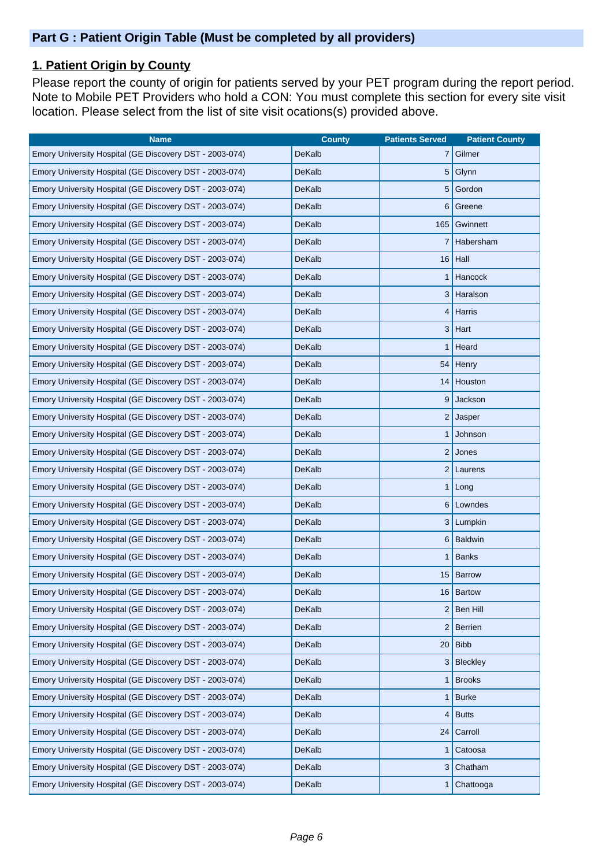## **1. Patient Origin by County**

Please report the county of origin for patients served by your PET program during the report period. Note to Mobile PET Providers who hold a CON: You must complete this section for every site visit location. Please select from the list of site visit ocations(s) provided above.

| <b>Name</b>                                             | <b>County</b> | <b>Patients Served</b> | <b>Patient County</b> |
|---------------------------------------------------------|---------------|------------------------|-----------------------|
| Emory University Hospital (GE Discovery DST - 2003-074) | <b>DeKalb</b> | 7                      | Gilmer                |
| Emory University Hospital (GE Discovery DST - 2003-074) | DeKalb        | 5                      | Glynn                 |
| Emory University Hospital (GE Discovery DST - 2003-074) | DeKalb        | 5                      | Gordon                |
| Emory University Hospital (GE Discovery DST - 2003-074) | DeKalb        | 6                      | Greene                |
| Emory University Hospital (GE Discovery DST - 2003-074) | DeKalb        | 165                    | Gwinnett              |
| Emory University Hospital (GE Discovery DST - 2003-074) | DeKalb        |                        | Habersham             |
| Emory University Hospital (GE Discovery DST - 2003-074) | DeKalb        | 16                     | Hall                  |
| Emory University Hospital (GE Discovery DST - 2003-074) | DeKalb        |                        | Hancock               |
| Emory University Hospital (GE Discovery DST - 2003-074) | DeKalb        | 3                      | Haralson              |
| Emory University Hospital (GE Discovery DST - 2003-074) | DeKalb        | 4                      | <b>Harris</b>         |
| Emory University Hospital (GE Discovery DST - 2003-074) | DeKalb        | 3                      | Hart                  |
| Emory University Hospital (GE Discovery DST - 2003-074) | DeKalb        | 1                      | Heard                 |
| Emory University Hospital (GE Discovery DST - 2003-074) | DeKalb        | 54                     | Henry                 |
| Emory University Hospital (GE Discovery DST - 2003-074) | DeKalb        | 14                     | Houston               |
| Emory University Hospital (GE Discovery DST - 2003-074) | DeKalb        | 9                      | Jackson               |
| Emory University Hospital (GE Discovery DST - 2003-074) | DeKalb        |                        | $2$ Jasper            |
| Emory University Hospital (GE Discovery DST - 2003-074) | DeKalb        | 1                      | Johnson               |
| Emory University Hospital (GE Discovery DST - 2003-074) | DeKalb        | $\overline{c}$         | Jones                 |
| Emory University Hospital (GE Discovery DST - 2003-074) | DeKalb        | 2                      | Laurens               |
| Emory University Hospital (GE Discovery DST - 2003-074) | DeKalb        | 1                      | Long                  |
| Emory University Hospital (GE Discovery DST - 2003-074) | DeKalb        |                        | 6 Lowndes             |
| Emory University Hospital (GE Discovery DST - 2003-074) | DeKalb        | 3                      | Lumpkin               |
| Emory University Hospital (GE Discovery DST - 2003-074) | DeKalb        | 6                      | Baldwin               |
| Emory University Hospital (GE Discovery DST - 2003-074) | DeKalb        | 1                      | <b>Banks</b>          |
| Emory University Hospital (GE Discovery DST - 2003-074) | DeKalb        | 15                     | Barrow                |
| Emory University Hospital (GE Discovery DST - 2003-074) | DeKalb        |                        | 16 Bartow             |
| Emory University Hospital (GE Discovery DST - 2003-074) | DeKalb        | $\overline{c}$         | <b>Ben Hill</b>       |
| Emory University Hospital (GE Discovery DST - 2003-074) | DeKalb        | 2                      | Berrien               |
| Emory University Hospital (GE Discovery DST - 2003-074) | DeKalb        | 20                     | <b>Bibb</b>           |
| Emory University Hospital (GE Discovery DST - 2003-074) | DeKalb        | 3                      | Bleckley              |
| Emory University Hospital (GE Discovery DST - 2003-074) | DeKalb        |                        | <b>Brooks</b>         |
| Emory University Hospital (GE Discovery DST - 2003-074) | DeKalb        | 1                      | <b>Burke</b>          |
| Emory University Hospital (GE Discovery DST - 2003-074) | DeKalb        | 4                      | <b>Butts</b>          |
| Emory University Hospital (GE Discovery DST - 2003-074) | DeKalb        | 24                     | Carroll               |
| Emory University Hospital (GE Discovery DST - 2003-074) | DeKalb        | 1                      | Catoosa               |
| Emory University Hospital (GE Discovery DST - 2003-074) | DeKalb        | 3                      | Chatham               |
| Emory University Hospital (GE Discovery DST - 2003-074) | DeKalb        |                        | Chattooga             |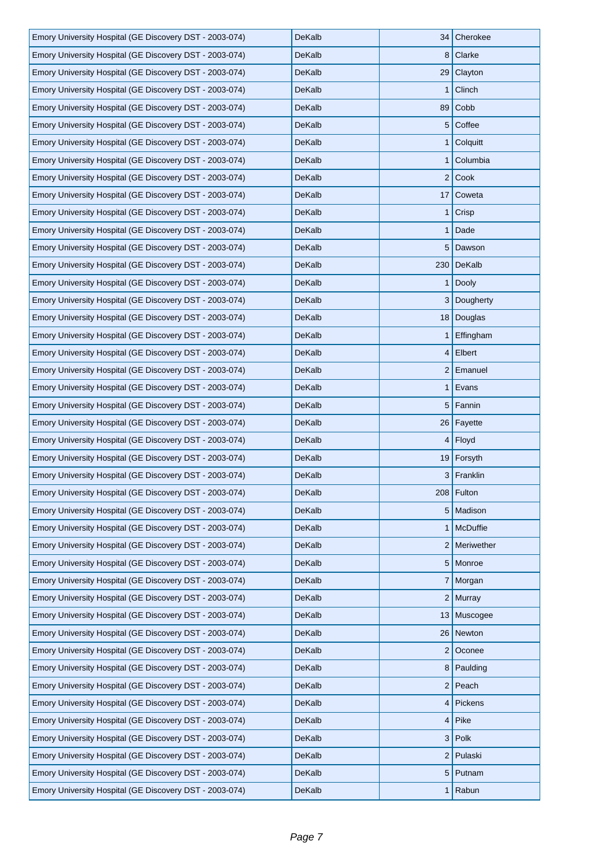| Emory University Hospital (GE Discovery DST - 2003-074) | DeKalb        |                | 34 Cherokee  |
|---------------------------------------------------------|---------------|----------------|--------------|
| Emory University Hospital (GE Discovery DST - 2003-074) | DeKalb        |                | 8 Clarke     |
| Emory University Hospital (GE Discovery DST - 2003-074) | DeKalb        |                | $29$ Clayton |
| Emory University Hospital (GE Discovery DST - 2003-074) | <b>DeKalb</b> | 1              | Clinch       |
| Emory University Hospital (GE Discovery DST - 2003-074) | DeKalb        | 89             | Cobb         |
| Emory University Hospital (GE Discovery DST - 2003-074) | DeKalb        |                | 5 Coffee     |
| Emory University Hospital (GE Discovery DST - 2003-074) | DeKalb        |                | $1$ Colquitt |
| Emory University Hospital (GE Discovery DST - 2003-074) | DeKalb        | 1 <sup>1</sup> | Columbia     |
| Emory University Hospital (GE Discovery DST - 2003-074) | DeKalb        |                | $2$ Cook     |
| Emory University Hospital (GE Discovery DST - 2003-074) | DeKalb        |                | 17 Coweta    |
| Emory University Hospital (GE Discovery DST - 2003-074) | DeKalb        | 1 <sup>1</sup> | Crisp        |
| Emory University Hospital (GE Discovery DST - 2003-074) | DeKalb        |                | $1$ Dade     |
| Emory University Hospital (GE Discovery DST - 2003-074) | DeKalb        |                | 5 Dawson     |
| Emory University Hospital (GE Discovery DST - 2003-074) | DeKalb        |                | 230 DeKalb   |
| Emory University Hospital (GE Discovery DST - 2003-074) | DeKalb        |                | $1  $ Dooly  |
| Emory University Hospital (GE Discovery DST - 2003-074) | DeKalb        |                | 3 Dougherty  |
| Emory University Hospital (GE Discovery DST - 2003-074) | DeKalb        |                | 18 Douglas   |
| Emory University Hospital (GE Discovery DST - 2003-074) | DeKalb        |                | 1 Effingham  |
| Emory University Hospital (GE Discovery DST - 2003-074) | DeKalb        |                | $4$ Elbert   |
| Emory University Hospital (GE Discovery DST - 2003-074) | DeKalb        |                | 2 Emanuel    |
| Emory University Hospital (GE Discovery DST - 2003-074) | DeKalb        |                | $1$ Evans    |
| Emory University Hospital (GE Discovery DST - 2003-074) | DeKalb        | 5 <sup>1</sup> | Fannin       |
|                                                         |               |                |              |
| Emory University Hospital (GE Discovery DST - 2003-074) | DeKalb        |                | 26   Fayette |
| Emory University Hospital (GE Discovery DST - 2003-074) | DeKalb        |                | $4$ Floyd    |
| Emory University Hospital (GE Discovery DST - 2003-074) | DeKalb        |                | 19 Forsyth   |
| Emory University Hospital (GE Discovery DST - 2003-074) | DeKalb        |                | 3 Franklin   |
| Emory University Hospital (GE Discovery DST - 2003-074) | DeKalb        |                | 208   Fulton |
| Emory University Hospital (GE Discovery DST - 2003-074) | DeKalb        |                | 5   Madison  |
| Emory University Hospital (GE Discovery DST - 2003-074) | DeKalb        |                | 1 McDuffie   |
| Emory University Hospital (GE Discovery DST - 2003-074) | DeKalb        |                | 2 Meriwether |
| Emory University Hospital (GE Discovery DST - 2003-074) | DeKalb        |                | 5 Monroe     |
| Emory University Hospital (GE Discovery DST - 2003-074) | DeKalb        |                | 7 Morgan     |
| Emory University Hospital (GE Discovery DST - 2003-074) | DeKalb        |                | 2 Murray     |
| Emory University Hospital (GE Discovery DST - 2003-074) | DeKalb        |                | 13 Muscogee  |
| Emory University Hospital (GE Discovery DST - 2003-074) | DeKalb        | 26             | Newton       |
| Emory University Hospital (GE Discovery DST - 2003-074) | DeKalb        | 2              | Oconee       |
| Emory University Hospital (GE Discovery DST - 2003-074) | DeKalb        |                | 8 Paulding   |
| Emory University Hospital (GE Discovery DST - 2003-074) | DeKalb        |                | $2$ Peach    |
| Emory University Hospital (GE Discovery DST - 2003-074) | DeKalb        |                | 4 Pickens    |
| Emory University Hospital (GE Discovery DST - 2003-074) | DeKalb        |                | $4$ Pike     |
| Emory University Hospital (GE Discovery DST - 2003-074) | DeKalb        | 3 <sup>2</sup> | Polk         |
| Emory University Hospital (GE Discovery DST - 2003-074) | DeKalb        | 2              | Pulaski      |
| Emory University Hospital (GE Discovery DST - 2003-074) | DeKalb        |                | 5 Putnam     |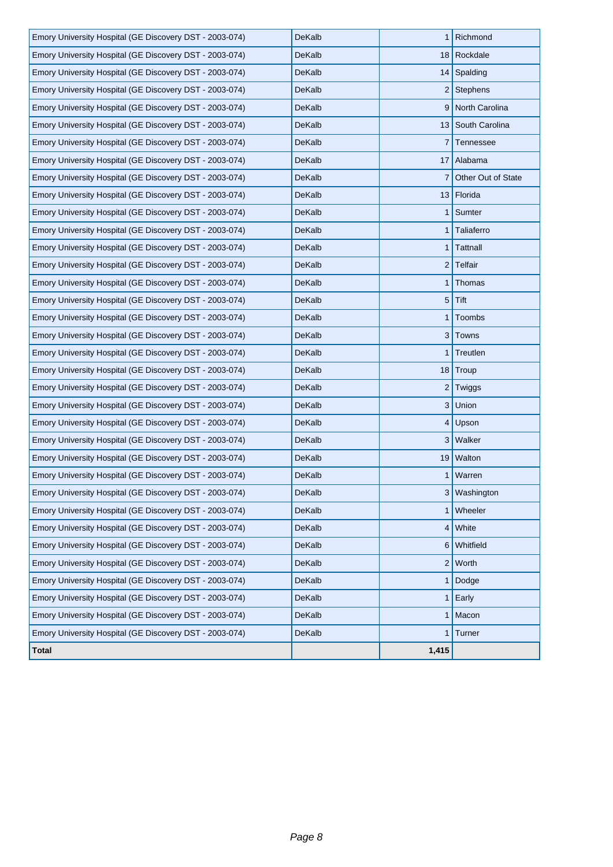| Emory University Hospital (GE Discovery DST - 2003-074) | DeKalb        |                | 1 Richmond         |
|---------------------------------------------------------|---------------|----------------|--------------------|
| Emory University Hospital (GE Discovery DST - 2003-074) | <b>DeKalb</b> |                | 18 Rockdale        |
| Emory University Hospital (GE Discovery DST - 2003-074) | DeKalb        |                | 14 Spalding        |
| Emory University Hospital (GE Discovery DST - 2003-074) | DeKalb        |                | $2$ Stephens       |
| Emory University Hospital (GE Discovery DST - 2003-074) | DeKalb        |                | 9 North Carolina   |
| Emory University Hospital (GE Discovery DST - 2003-074) | DeKalb        |                | 13 South Carolina  |
| Emory University Hospital (GE Discovery DST - 2003-074) | DeKalb        |                | 7 Tennessee        |
| Emory University Hospital (GE Discovery DST - 2003-074) | DeKalb        |                | 17 Alabama         |
| Emory University Hospital (GE Discovery DST - 2003-074) | DeKalb        | $\mathbf{7}$   | Other Out of State |
| Emory University Hospital (GE Discovery DST - 2003-074) | DeKalb        |                | 13 Florida         |
| Emory University Hospital (GE Discovery DST - 2003-074) | DeKalb        |                | 1 Sumter           |
| Emory University Hospital (GE Discovery DST - 2003-074) | DeKalb        | 1 <sup>1</sup> | Taliaferro         |
| Emory University Hospital (GE Discovery DST - 2003-074) | DeKalb        |                | 1 Tattnall         |
| Emory University Hospital (GE Discovery DST - 2003-074) | <b>DeKalb</b> |                | $2$ Telfair        |
| Emory University Hospital (GE Discovery DST - 2003-074) | DeKalb        | 1 <sup>1</sup> | Thomas             |
| Emory University Hospital (GE Discovery DST - 2003-074) | DeKalb        |                | $5$ Tift           |
| Emory University Hospital (GE Discovery DST - 2003-074) | <b>DeKalb</b> | 1 <sup>1</sup> | Toombs             |
| Emory University Hospital (GE Discovery DST - 2003-074) | DeKalb        |                | 3 Towns            |
| Emory University Hospital (GE Discovery DST - 2003-074) | DeKalb        |                | 1 Treutlen         |
| Emory University Hospital (GE Discovery DST - 2003-074) | DeKalb        |                | 18 Troup           |
| Emory University Hospital (GE Discovery DST - 2003-074) | DeKalb        | 2              | Twiggs             |
| Emory University Hospital (GE Discovery DST - 2003-074) | DeKalb        |                | 3 Union            |
| Emory University Hospital (GE Discovery DST - 2003-074) | DeKalb        |                | $4$ Upson          |
| Emory University Hospital (GE Discovery DST - 2003-074) | DeKalb        | 3              | Walker             |
| Emory University Hospital (GE Discovery DST - 2003-074) | <b>DeKalb</b> |                | 19 Walton          |
| Emory University Hospital (GE Discovery DST - 2003-074) | DeKalb        |                | 1   Warren         |
| Emory University Hospital (GE Discovery DST - 2003-074) | DeKalb        |                | 3 Washington       |
| Emory University Hospital (GE Discovery DST - 2003-074) | DeKalb        |                | 1 Wheeler          |
| Emory University Hospital (GE Discovery DST - 2003-074) | DeKalb        |                | $4$ White          |
| Emory University Hospital (GE Discovery DST - 2003-074) | DeKalb        | 6              | Whitfield          |
| Emory University Hospital (GE Discovery DST - 2003-074) | DeKalb        |                | $2$ Worth          |
| Emory University Hospital (GE Discovery DST - 2003-074) | DeKalb        | 1 <sup>1</sup> | Dodge              |
| Emory University Hospital (GE Discovery DST - 2003-074) | <b>DeKalb</b> |                | 1 Early            |
| Emory University Hospital (GE Discovery DST - 2003-074) | DeKalb        |                | $1$ Macon          |
| Emory University Hospital (GE Discovery DST - 2003-074) | DeKalb        | $1\vert$       | Turner             |
| <b>Total</b>                                            |               | 1,415          |                    |